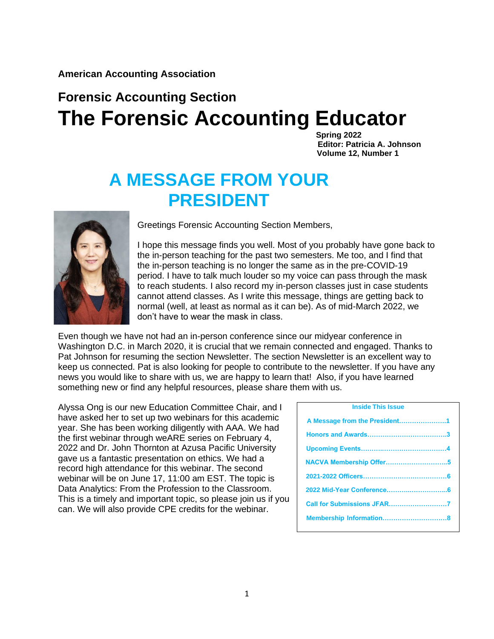**American Accounting Association**

# **Forensic Accounting Section The Forensic Accounting Educator**

 **Spring 2022 Editor: Patricia A. Johnson Volume 12, Number 1** 

# **A MESSAGE FROM YOUR PRESIDENT**



Greetings Forensic Accounting Section Members,

I hope this message finds you well. Most of you probably have gone back to the in-person teaching for the past two semesters. Me too, and I find that the in-person teaching is no longer the same as in the pre-COVID-19 period. I have to talk much louder so my voice can pass through the mask to reach students. I also record my in-person classes just in case students cannot attend classes. As I write this message, things are getting back to normal (well, at least as normal as it can be). As of mid-March 2022, we don't have to wear the mask in class.

Even though we have not had an in-person conference since our midyear conference in Washington D.C. in March 2020, it is crucial that we remain connected and engaged. Thanks to Pat Johnson for resuming the section Newsletter. The section Newsletter is an excellent way to keep us connected. Pat is also looking for people to contribute to the newsletter. If you have any news you would like to share with us, we are happy to learn that! Also, if you have learned something new or find any helpful resources, please share them with us.

Alyssa Ong is our new Education Committee Chair, and I have asked her to set up two webinars for this academic year. She has been working diligently with AAA. We had the first webinar through weARE series on February 4, 2022 and Dr. John Thornton at Azusa Pacific University gave us a fantastic presentation on ethics. We had a record high attendance for this webinar. The second webinar will be on June 17, 11:00 am EST. The topic is Data Analytics: From the Profession to the Classroom. This is a timely and important topic, so please join us if you can. We will also provide CPE credits for the webinar.

| <b>Inside This Issue</b>      |  |  |  |
|-------------------------------|--|--|--|
| A Message from the President1 |  |  |  |
|                               |  |  |  |
|                               |  |  |  |
|                               |  |  |  |
|                               |  |  |  |
|                               |  |  |  |
|                               |  |  |  |
|                               |  |  |  |
|                               |  |  |  |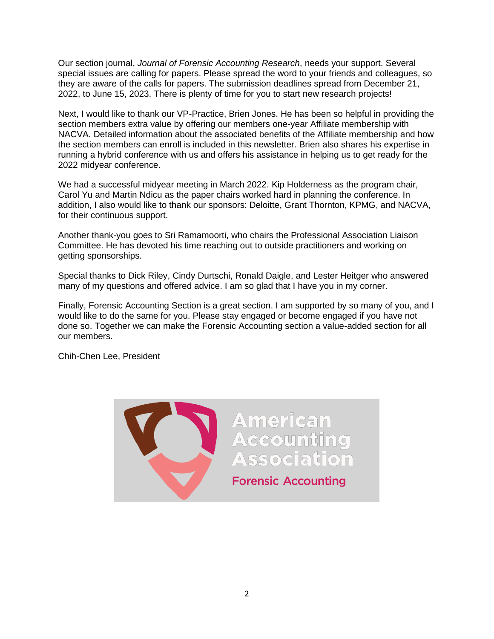Our section journal, *Journal of Forensic Accounting Research*, needs your support. Several special issues are calling for papers. Please spread the word to your friends and colleagues, so they are aware of the calls for papers. The submission deadlines spread from December 21, 2022, to June 15, 2023. There is plenty of time for you to start new research projects!

Next, I would like to thank our VP-Practice, Brien Jones. He has been so helpful in providing the section members extra value by offering our members one-year Affiliate membership with NACVA. Detailed information about the associated benefits of the Affiliate membership and how the section members can enroll is included in this newsletter. Brien also shares his expertise in running a hybrid conference with us and offers his assistance in helping us to get ready for the 2022 midyear conference.

We had a successful midyear meeting in March 2022. Kip Holderness as the program chair, Carol Yu and Martin Ndicu as the paper chairs worked hard in planning the conference. In addition, I also would like to thank our sponsors: Deloitte, Grant Thornton, KPMG, and NACVA, for their continuous support.

Another thank-you goes to Sri Ramamoorti, who chairs the Professional Association Liaison Committee. He has devoted his time reaching out to outside practitioners and working on getting sponsorships.

Special thanks to Dick Riley, Cindy Durtschi, Ronald Daigle, and Lester Heitger who answered many of my questions and offered advice. I am so glad that I have you in my corner.

Finally, Forensic Accounting Section is a great section. I am supported by so many of you, and I would like to do the same for you. Please stay engaged or become engaged if you have not done so. Together we can make the Forensic Accounting section a value-added section for all our members.

Chih-Chen Lee, President

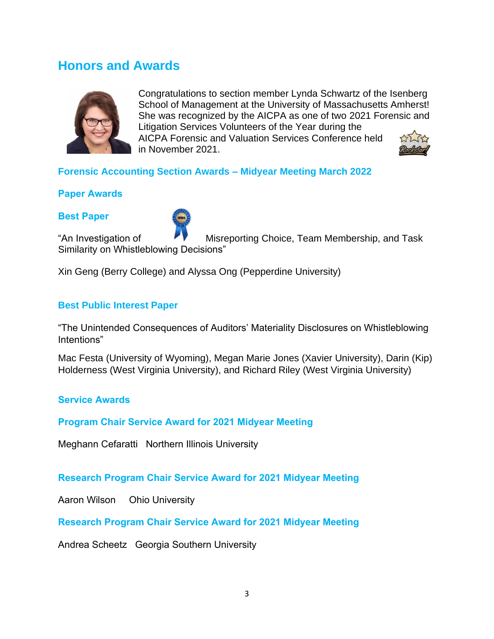## **Honors and Awards**



Congratulations to section member Lynda Schwartz of the Isenberg School of Management at the University of Massachusetts Amherst! She was recognized by the AICPA as one of two 2021 Forensic and Litigation Services Volunteers of the Year during the AICPA Forensic and Valuation Services Conference held in November 2021.



### **Forensic Accounting Section Awards – Midyear Meeting March 2022**

### **Paper Awards**

### **Best Paper**



"An Investigation of Misreporting Choice, Team Membership, and Task Similarity on Whistleblowing Decisions"

Xin Geng (Berry College) and Alyssa Ong (Pepperdine University)

### **Best Public Interest Paper**

"The Unintended Consequences of Auditors' Materiality Disclosures on Whistleblowing Intentions"

Mac Festa (University of Wyoming), Megan Marie Jones (Xavier University), Darin (Kip) Holderness (West Virginia University), and Richard Riley (West Virginia University)

### **Service Awards**

### **Program Chair Service Award for 2021 Midyear Meeting**

Meghann Cefaratti Northern Illinois University

**Research Program Chair Service Award for 2021 Midyear Meeting**

Aaron Wilson Ohio University

**Research Program Chair Service Award for 2021 Midyear Meeting**

Andrea Scheetz Georgia Southern University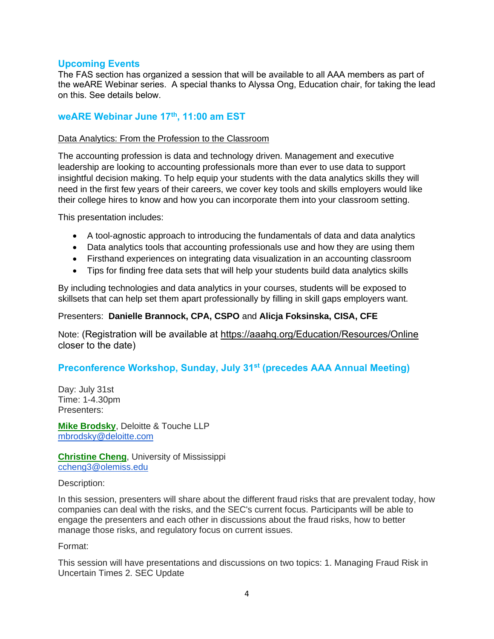### **Upcoming Events**

The FAS section has organized a session that will be available to all AAA members as part of the weARE Webinar series. A special thanks to Alyssa Ong, Education chair, for taking the lead on this. See details below.

### **weARE Webinar June 17th, 11:00 am EST**

### Data Analytics: From the Profession to the Classroom

The accounting profession is data and technology driven. Management and executive leadership are looking to accounting professionals more than ever to use data to support insightful decision making. To help equip your students with the data analytics skills they will need in the first few years of their careers, we cover key tools and skills employers would like their college hires to know and how you can incorporate them into your classroom setting.

This presentation includes:

- A tool-agnostic approach to introducing the fundamentals of data and data analytics
- Data analytics tools that accounting professionals use and how they are using them
- Firsthand experiences on integrating data visualization in an accounting classroom
- Tips for finding free data sets that will help your students build data analytics skills

By including technologies and data analytics in your courses, students will be exposed to skillsets that can help set them apart professionally by filling in skill gaps employers want.

### Presenters: **Danielle Brannock, CPA, CSPO** and **Alicja Foksinska, CISA, CFE**

Note: (Registration will be available at<https://aaahq.org/Education/Resources/Online> closer to the date)

### **Preconference Workshop, Sunday, July 31st (precedes AAA Annual Meeting)**

Day: July 31st Time: 1-4.30pm Presenters:

**[Mike Brodsky](https://www2.aaahq.org/AM/modify.cfm?view=ModifyPresenter&participantID=26358)**, Deloitte & Touche LLP [mbrodsky@deloitte.com](mailto:mbrodsky@deloitte.com)

**[Christine Cheng](https://www2.aaahq.org/AM/modify.cfm?view=ModifyPresenter&participantID=26378)**, University of Mississippi [ccheng3@olemiss.edu](mailto:ccheng3@olemiss.edu)

Description:

In this session, presenters will share about the different fraud risks that are prevalent today, how companies can deal with the risks, and the SEC's current focus. Participants will be able to engage the presenters and each other in discussions about the fraud risks, how to better manage those risks, and regulatory focus on current issues.

Format:

This session will have presentations and discussions on two topics: 1. Managing Fraud Risk in Uncertain Times 2. SEC Update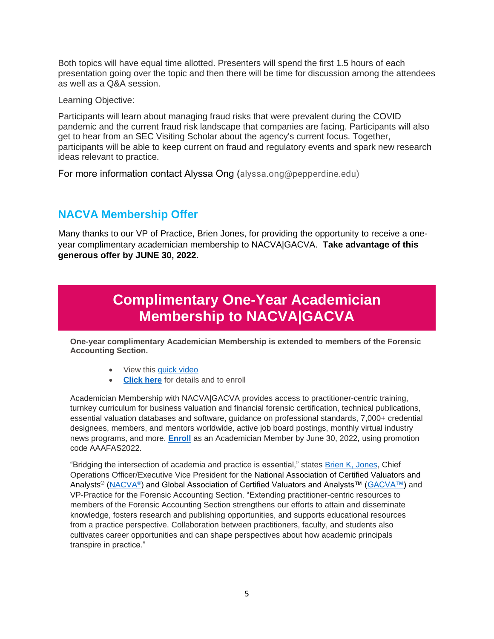Both topics will have equal time allotted. Presenters will spend the first 1.5 hours of each presentation going over the topic and then there will be time for discussion among the attendees as well as a Q&A session.

Learning Objective:

Participants will learn about managing fraud risks that were prevalent during the COVID pandemic and the current fraud risk landscape that companies are facing. Participants will also get to hear from an SEC Visiting Scholar about the agency's current focus. Together, participants will be able to keep current on fraud and regulatory events and spark new research ideas relevant to practice.

For more information contact Alyssa Ong (alyssa.ong@pepperdine.edu)

## **NACVA Membership Offer**

Many thanks to our VP of Practice, Brien Jones, for providing the opportunity to receive a oneyear complimentary academician membership to NACVA|GACVA. **Take advantage of this generous offer by JUNE 30, 2022.** 

## **Complimentary One-Year Academician Membership to NACVA|GACVA**

**One-year complimentary Academician Membership is extended to members of the Forensic Accounting Section.**

- View this [quick video](https://youtu.be/7M_8ezCDw3w)
- **[Click here](https://www.nacva.com/AAAFAS)** for details and to enroll

Academician Membership with NACVA|GACVA provides access to practitioner-centric training, turnkey curriculum for business valuation and financial forensic certification, technical publications, essential valuation databases and software, guidance on professional standards, 7,000+ credential designees, members, and mentors worldwide, active job board postings, monthly virtual industry news programs, and more. **[Enroll](https://www.nacva.com/assoc_subscribe.asp)** as an Academician Member by June 30, 2022, using promotion code AAAFAS2022.

"Bridging the intersection of academia and practice is essential," states **Brien K, Jones**, Chief Operations Officer/Executive Vice President for the National Association of Certified Valuators and Analysts® [\(NACVA](https://www.nacva.com/)®) and Global Association of Certified Valuators and Analysts™ [\(GACVA™\)](https://www.globalcva.com/) and VP-Practice for the Forensic Accounting Section. "Extending practitioner-centric resources to members of the Forensic Accounting Section strengthens our efforts to attain and disseminate knowledge, fosters research and publishing opportunities, and supports educational resources from a practice perspective. Collaboration between practitioners, faculty, and students also cultivates career opportunities and can shape perspectives about how academic principals transpire in practice."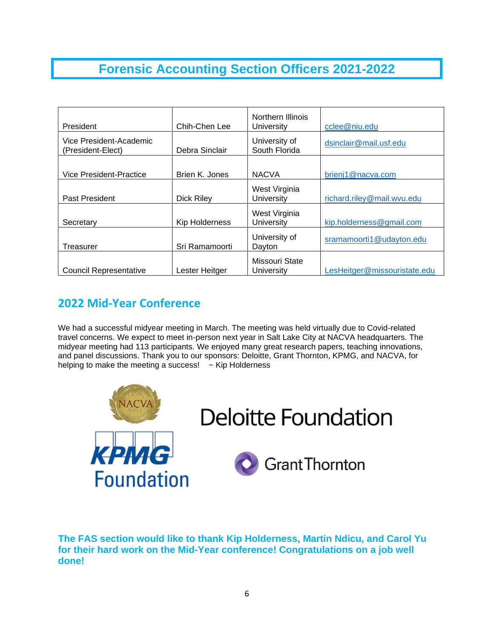## **Forensic Accounting Section Officers 2021-2022**

| President                                    | Chih-Chen Lee     | Northern Illinois<br>University | cclee@niu.edu                |
|----------------------------------------------|-------------------|---------------------------------|------------------------------|
| Vice President-Academic<br>(President-Elect) | Debra Sinclair    | University of<br>South Florida  | dsinclair@mail.usf.edu       |
|                                              |                   |                                 |                              |
| Vice President-Practice                      | Brien K. Jones    | <b>NACVA</b>                    | brienj1@nacva.com            |
| Past President                               | <b>Dick Riley</b> | West Virginia<br>University     | richard.riley@mail.wvu.edu   |
| Secretary                                    | Kip Holderness    | West Virginia<br>University     | kip.holderness@gmail.com     |
| Treasurer                                    | Sri Ramamoorti    | University of<br>Dayton         | sramamoorti1@udayton.edu     |
| <b>Council Representative</b>                | Lester Heitger    | Missouri State<br>University    | LesHeitger@missouristate.edu |

## **2022 Mid-Year Conference**

We had a successful midyear meeting in March. The meeting was held virtually due to Covid-related travel concerns. We expect to meet in-person next year in Salt Lake City at NACVA headquarters. The midyear meeting had 113 participants. We enjoyed many great research papers, teaching innovations, and panel discussions. Thank you to our sponsors: Deloitte, Grant Thornton, KPMG, and NACVA, for helping to make the meeting a success!  $\sim$  Kip Holderness



**The FAS section would like to thank Kip Holderness, Martin Ndicu, and Carol Yu for their hard work on the Mid-Year conference! Congratulations on a job well done!**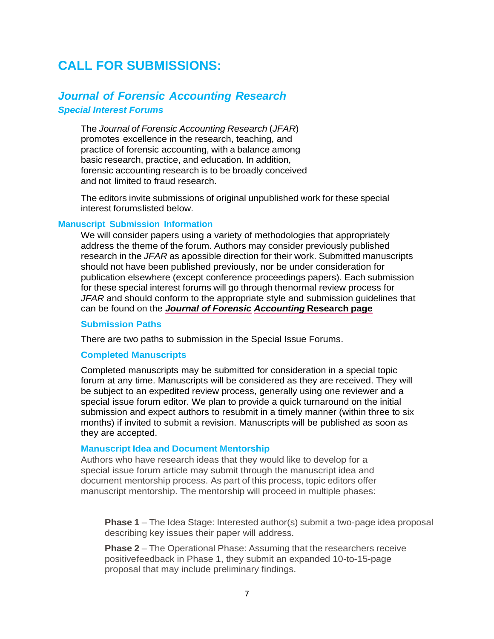## **CALL FOR SUBMISSIONS:**

## *Journal of Forensic Accounting Research*

#### *Special Interest Forums*

The *Journal of Forensic Accounting Research* (*JFAR*) promotes excellence in the research, teaching, and practice of forensic accounting, with a balance among basic research, practice, and education. In addition, forensic accounting research is to be broadly conceived and not limited to fraud research.

The editors invite submissions of original unpublished work for these special interest forumslisted below.

### **Manuscript Submission Information**

We will consider papers using a variety of methodologies that appropriately address the theme of the forum. Authors may consider previously published research in the *JFAR* as apossible direction for their work. Submitted manuscripts should not have been published previously, nor be under consideration for publication elsewhere (except conference proceedings papers). Each submission for these special interest forums will go through thenormal review process for *JFAR* and should conform to the appropriate style and submission guidelines that can be found on the *Journal of [Forensic](about:blank) [Accounting](about:blank)* **Research page**

#### **Submission Paths**

There are two paths to submission in the Special Issue Forums.

### **Completed Manuscripts**

Completed manuscripts may be submitted for consideration in a special topic forum at any time. Manuscripts will be considered as they are received. They will be subject to an expedited review process, generally using one reviewer and a special issue forum editor. We plan to provide a quick turnaround on the initial submission and expect authors to resubmit in a timely manner (within three to six months) if invited to submit a revision. Manuscripts will be published as soon as they are accepted.

### **Manuscript Idea and Document Mentorship**

Authors who have research ideas that they would like to develop for a special issue forum article may submit through the manuscript idea and document mentorship process. As part of this process, topic editors offer manuscript mentorship. The mentorship will proceed in multiple phases:

**Phase 1** – The Idea Stage: Interested author(s) submit a two-page idea proposal describing key issues their paper will address.

**Phase 2** – The Operational Phase: Assuming that the researchers receive positivefeedback in Phase 1, they submit an expanded 10-to-15-page proposal that may include preliminary findings.